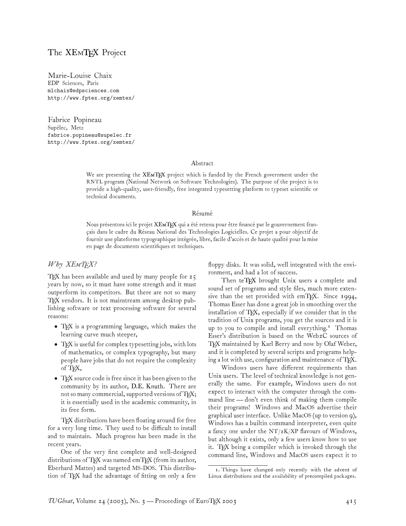# The XEM[TEX](http://www.fptex.org/xemtex/) Project

Marie-Louise Chaix EDP Sciences, Paris mlchaix@edpsciences.com http://www.fptex.org/xemtex/

Fabrice Popineau Supélec, Metz fabrice.popineau@supelec.fr http://www.fptex.org/xemtex/

#### Abstract

We are presenting the XEM[TEX](http://www.fptex.org/xemtex/) project which is funded by the French government under the RNTL program (National Network on Software Technologies). The purpose of the project is to provide a high-quality, user-friendly, free integrated typesetting platform to typeset scientific or technical documents.

#### Résumé

Nous présentons ici le projet XEM[TEX](http://www.fptex.org/xemtex/) qui a été retenu pour être financé par le gouvernement français dans le cadre du Réseau National des Technologies Logicielles. Ce projet a pour objectif de fournir une plateforme typographique intégrée, libre, facile d'accès et de haute qualité pour la mise en page de documents scientifiques et techniques.

### *Why XETEX?*

TEX has been available and used by many people for  $25$ years by now, so it must have some strength and it must outperform its competitors. But there are not so many TEX vendors. It is not mainstream among desktop publishing software or text processing software for several reasons:

- TFX is a programming language, which makes the learning curve much steeper,
- TEX is useful for complex typesetting jobs, with lots of mathematics, or complex typography, but many people have jobs that do not require the complexity of TFX,
- TFX source code is free since it has been given to the community by its author, [D.E. Knuth.](http://www-cs-staff.stanford.edu/~knuth/) There are not so many commercial, supported versions of TFX; it is essentially used in the academic community, in its free form.

TFX distributions have been floating around for free for a very long time. They used to be difficult to install and to maintain. Much progress has been made in the recent years.

One of the very first complete and well-designed distributions of TEX was named emTEX (from its author, Eberhard Mattes) and targeted MS-DOS. This distribution of TEX had the advantage of fitting on only a few

floppy disks. It was solid, well integrated with the environment, and had a lot of success.

Then [teTEX](http://www.tug.org/teTeX) brought Unix users a complete and sound set of programs and style files, much more extensive than the set provided with  $emTeX.$  Since 1994, Thomas Esser has done a great job in smoothing over the installation of TEX, especially if we consider that in the tradition of Unix programs, you get the sources and it is up to you to compile and install everything.<sup>[1](#page-0-0)</sup> Thomas Esser's distribution is based on the Web2C sources of TEX maintained by Karl Berry and now by Olaf Weber, and it is completed by several scripts and programs helping a lot with use, configuration and maintenance of TEX.

Windows users have different requirements than Unix users. The level of technical knowledge is not generally the same. For example, Windows users do not expect to interact with the computer through the command line— don't even think of making them compile their programs! Windows and MacOS advertise their graphical user interface. Unlike MacOS (up to version 9), Windows has a builtin command interpreter, even quite a fancy one under the  $NT/zK/XP$  flavours of Windows, but although it exists, only a few users know how to use it. TEX being a compiler which is invoked through the command line, Windows and MacOS users expect it to

<span id="page-0-0"></span><sup>1.</sup> Things have changed only recently with the advent of Linux distributions and the availability of precompiled packages.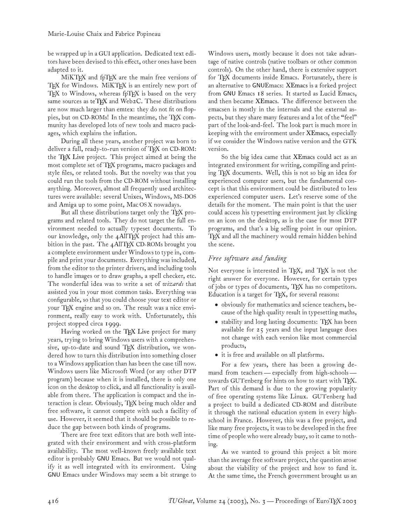be wrapped up in a GUI application. Dedicated text editors have been devised to this effect, other ones have been adapted to it.

MiKTEX and fpTEX are the main free versions of TEX for Windows. MiKTEX is an entirely new port of  $T_F X$  to Windows, whereas fpT $F_X$  is based on the very same sources as [teTEX](http://www.tug.org/teTeX) and Web2C. These distributions are now much larger than emtex: they do not fit on floppies, but on CD-ROMs! In the meantime, the TEX community has developed lots of new tools and macro packages, which explains the inflation.

During all these years, another project was born to deliver a full, ready-to-run version of TFX on CD-ROM: the [TEX Live](http://www.tug.org/texlive) project. This project aimed at being the most complete set of TEX programs, macro packages and style files, or related tools. But the novelty was that you could run the tools from the CD-ROM without installing anything. Moreover, almost all frequently used architectures were available: several Unixes, Windows, MS-DOS and Amiga up to some point, Mac OS X nowadays.

But all these distributions target only the TFX programs and related tools. They do not target the full environment needed to actually typeset documents. To our knowledge, only the 4AllTEX project had this ambition in the past. The 4AllTEX CD-ROMs brought you a complete environment under Windows to type in, compile and print your documents. Everything was included, from the editor to the printer drivers, and including tools to handle images or to draw graphs, a spell checker, etc. The wonderful idea was to write a set of *wizards* that assisted you in your most common tasks. Everything was configurable, so that you could choose your text editor or your TFX engine and so on. The result was a nice environment, really easy to work with. Unfortunately, this project stopped circa 1999.

Having worked on the [TEX Live](http://www.tug.org/texlive) project for many years, trying to bring Windows users with a comprehensive, up-to-date and sound TFX distribution, we wondered how to turn this distribution into something closer to a Windows application than has been the case till now. Windows users like Microsoft Word (or any other DTP program) because when it is installed, there is only one icon on the desktop to click, and all functionality is available from there. The application is compact and the interaction is clear. Obviously, TFX being much older and free software, it cannot compete with such a facility of use. However, it seemed that it should be possible to reduce the gap between both kinds of programs.

There are free text editors that are both well integrated with their environment and with cross-platform availability. The most well-known freely available text editor is probably [GNU](http://www.gnu.org) Emacs. But we would not qualify it as well integrated with its environment. Using [GNU](http://www.gnu.org) Emacs under Windows may seem a bit strange to

Windows users, mostly because it does not take advantage of native controls (native toolbars or other common controls). On the other hand, there is extensive support for TFX documents inside Emacs. Fortunately, there is an alternative to [GNU](http://www.gnu.org)Emacs: [XEmacs](http://www.xemacs.org/) is a forked project from [GNU](http://www.gnu.org) Emacs 18 series. It started as Lucid Emacs, and then became [XEmacs.](http://www.xemacs.org/) The difference between the emacsen is mostly in the internals and the external aspects, but they share many features and a lot of the "feel" part of the look-and-feel. The look part is much more in keeping with the environment under [XEmacs,](http://www.xemacs.org/) especially if we consider the Windows native version and the GTK version.

So the big idea came that [XEmacs](http://www.xemacs.org/) could act as an integrated environment for writing, compiling and printing TEX documents. Well, this is not so big an idea for experienced computer users, but the fundamental concept is that this environment could be distributed to less experienced computer users. Let's reserve some of the details for the moment. The main point is that the user could access his typesetting environment just by clicking on an icon on the desktop, as is the case for most DTP programs, and that's a big selling point in our opinion. TEX and all the machinery would remain hidden behind the scene.

# *Free software and funding*

Not everyone is interested in T<sub>E</sub>X, and T<sub>E</sub>X is not the right answer for everyone. However, for certain types of jobs or types of documents, TEX has no competitors. Education is a target for TEX, for several reasons:

- obviously for mathematics and science teachers, because of the high quality result in typesetting maths,
- stability and long lasting documents: TFX has been available for 25 years and the input language does not change with each version like most commercial products,
- it is free and available on all platforms.

For a few years, there has been a growing demand from teachers— especially from high-schools towards GUTenberg for hints on how to start with TFX. Part of this demand is due to the growing popularity of free operating systems like Linux. GUTenberg had a project to build a dedicated CD-ROM and distribute it through the national education system in every highschool in France. However, this was a free project, and like many free projects, it was to be developed in the free time of people who were already busy, so it came to nothing.

As we wanted to ground this project a bit more than the average free software project, the question arose about the viability of the project and how to fund it. At the same time, the French government brought us an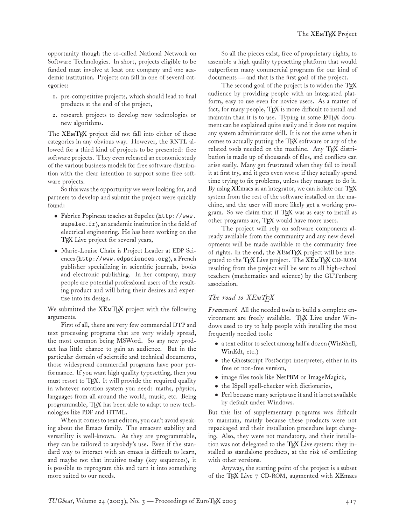opportunity though the so-called National Network on Software Technologies. In short, projects eligible to be funded must involve at least one company and one academic institution. Projects can fall in one of several categories:

- 1. pre-competitive projects, which should lead to final products at the end of the project,
- 2. research projects to develop new technologies or new algorithms.

The XEM[TEX](http://www.fptex.org/xemtex/) project did not fall into either of these categories in any obvious way. However, the RNTL allowed for a third kind of projects to be presented: free software projects. They even released an economic study of the various business models for free software distribution with the clear intention to support some free software projects.

So this was the opportunity we were looking for, and partners to develop and submit the project were quickly found:

- Fabrice Popineau teaches at Supelec (http://www. supelec.fr), an academic institution in the field of electrical engineering. He has been working on the [TEX Live](http://www.tug.org/texlive) project for several years,
- Marie-Louise Chaix is Project Leader at EDP Sciences (<http://www.edpsciences.org>), a French publisher specializing in scientific journals, books and electronic publishing. In her company, many people are potential professional users of the resulting product and will bring their desires and expertise into its design.

We submitted the XEM[TEX](http://www.fptex.org/xemtex/) project with the following arguments.

First of all, there are very few commercial DTP and text processing programs that are very widely spread, the most common being MSWord. So any new product has little chance to gain an audience. But in the particular domain of scientific and technical documents, those widespread commercial programs have poor performance. If you want high quality typesetting, then you must resort to TEX. It will provide the required quality in whatever notation system you need: maths, physics, languages from all around the world, music, etc. Being programmable, TFX has been able to adapt to new technologies like PDF and HTML.

When it comes to text editors, you can't avoid speaking about the Emacs family. The emacsen stability and versatility is well-known. As they are programmable, they can be tailored to anyobdy's use. Even if the standard way to interact with an emacs is difficult to learn, and maybe not that intuitive today (key sequences), it is possible to reprogram this and turn it into something more suited to our needs.

So all the pieces exist, free of proprietary rights, to assemble a high quality typesetting platform that would outperform many commercial programs for our kind of documents — and that is the first goal of the project.

The second goal of the project is to widen the  $T_F X$ audience by providing people with an integrated platform, easy to use even for novice users. As a matter of fact, for many people, TEX is more difficult to install and maintain than it is to use. Typing in some LATEX document can be explained quite easily and it does not require any system administrator skill. It is not the same when it comes to actually putting the TFX software or any of the related tools needed on the machine. Any TFX distribution is made up of thousands of files, and conflicts can arise easily. Many get frustrated when they fail to install it at first try, and it gets even worse if they actually spend time trying to fix problems, unless they manage to do it. By using [XEmacs](http://www.xemacs.org/) as an integrator, we can isolate our TFX system from the rest of the software installed on the machine, and the user will more likely get a working program. So we claim that if TFX was as easy to install as other programs are, TFX would have more users.

The project will rely on software components already available from the community and any new developments will be made available to the community free of rights. In the end, the  $XEMTFX$  project will be inte-grated to the [TEX Live](http://www.tug.org/texlive) project. The XEM[TEX](http://www.fptex.org/xemtex/) CD-ROM resulting from the project will be sent to all high-school teachers (mathematics and science) by the GUTenberg association.

### *The road to XETEX*

*Framework* All the needed tools to build a complete en-vironment are freely available. [TEX Live](http://www.tug.org/texlive) under Windows used to try to help people with installing the most frequently needed tools:

- a text editor to select among half a dozen [\(WinShell,](http://www.winshell.de) [WinEdt,](http://www.winedt.com/) etc.)
- the [Ghostscript](http://www.cs.wisc.edu/~ghost) PostScript interpreter, either in its free or non-free version,
- image files tools like Net[PBM](http://netpbm.sourceforge.net/) or [ImageMagick,](http://www.wizards.dupont.com/cristy/)
- the ISpell spell-checker with dictionaries,
- Perl because many scripts use it and it is not available by default under Windows.

But this list of supplementary programs was difficult to maintain, mainly because these products were not repackaged and their installation procedure kept changing. Also, they were not mandatory, and their installation was not delegated to the T<sub>E</sub>X Live system: they installed as standalone products, at the risk of conflicting with other versions.

Anyway, the starting point of the project is a subset of the TFX Live 7 CD-ROM, augmented with [XEmacs](http://www.xemacs.org/)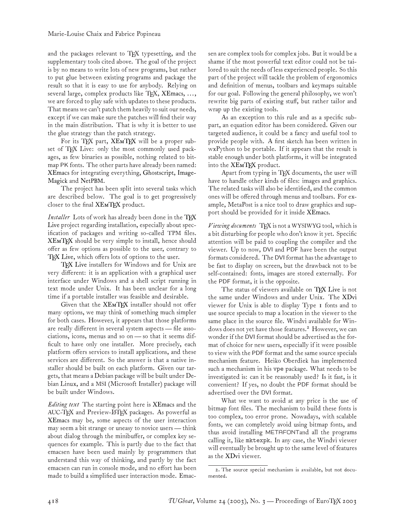and the packages relevant to TFX typesetting, and the supplementary tools cited above. The goal of the project is by no means to write lots of new programs, but rather to put glue between existing programs and package the result so that it is easy to use for anybody. Relying on several large, complex products like  $T_F X$ ,  $XEmacs$ , ..., we are forced to play safe with updates to these products. That means we can't patch them heavily to suit our needs, except if we can make sure the patches will find their way in the main distribution. That is why it is better to use the glue strategy than the patch strategy.

For its [TEX](http://www.fptex.org/xemtex/) part, XEMTEX will be a proper subset of TEX Live: only the most commonly used packages, as few binaries as possible, nothing related to bitmap PK fonts. The other parts have already been named: [XEmacs](http://www.xemacs.org/) for integrating everything, [Ghostscript,](http://www.cs.wisc.edu/~ghost) Image-Magick and [Net](http://www.wizards.dupont.com/cristy/)[PBM](http://netpbm.sourceforge.net/).

The project has been split into several tasks which are described below. The goal is to get progressively closer to the final XEM[TEX](http://www.fptex.org/xemtex/) product.

*Installer* [Lots of work has already been done in the](http://www.tug.org/texlive) TFX Live project regarding installation, especially about specification of packages and writing so-called TPM files. XEM[TEX](http://www.fptex.org/xemtex/) should be very simple to install, hence should offer as few options as possible to the user, contrary to [TEX Live,](http://www.tug.org/texlive) which offers lots of options to the user.

[TEX Live](http://www.tug.org/texlive) installers for Windows and for Unix are very different: it is an application with a graphical user interface under Windows and a shell script running in text mode under Unix. It has been unclear for a long time if a portable installer was feasible and desirable.

Given that the XEM[TEX](http://www.fptex.org/xemtex/) installer should not offer many options, we may think of something much simpler for both cases. However, it appears that those platforms are really different in several system aspects — file associations, icons, menus and so on — so that it seems difficult to have only one installer. More precisely, each platform offers services to install applications, and these services are different. So the answer is that a native installer should be built on each platform. Given our targets, that means a Debian package will be built under Debian Linux, and a MSI (Microsoft Installer) package will be built under Windows.

*Editing text* The starting point here is [XEmacs](http://www.xemacs.org/) and the AUC-TEX and Preview-LATEX packages. As powerful as [XEmacs](http://www.xemacs.org/) may be, some aspects of the user interaction may seem a bit strange or uneasy to novice users— think about dialog through the minibuffer, or complex key sequences for example. This is partly due to the fact that emacsen have been used mainly by programmers that understand this way of thinking, and partly by the fact emacsen can run in console mode, and no effort has been made to build a simplified user interaction mode. Emacsen are complex tools for complex jobs. But it would be a shame if the most powerful text editor could not be tailored to suit the needs of less experienced people. So this part of the project will tackle the problem of ergonomics and definition of menus, toolbars and keymaps suitable for our goal. Following the general philosophy, we won't rewrite big parts of existing stuff, but rather tailor and wrap up the existing tools.

As an exception to this rule and as a specific subpart, an equation editor has been considered. Given our targeted audience, it could be a fancy and useful tool to provide people with. A first sketch has been written in wxPython to be portable. If it appears that the result is stable enough under both platforms, it will be integrated into the XEM[TEX](http://www.fptex.org/xemtex/) product.

Apart from typing in TFX documents, the user will have to handle other kinds of files: images and graphics. The related tasks will also be identified, and the common ones will be offered through menus and toolbars. For example, MetaPost is a nice tool to draw graphics and support should be provided for it inside [XEmacs.](http://www.xemacs.org/)

*Viewing documents* TEX is not a WYSIWYG tool, which is a bit disturbing for people who don't know it yet. Specific attention will be paid to coupling the compiler and the viewer. Up to now, DVI and PDF have been the output formats considered. The DVI format has the advantage to be fast to display on screen, but the drawback not to be self-contained: fonts, images are stored externally. For the PDF format, it is the opposite.

The status of viewers available on [TEX Live](http://www.tug.org/texlive) is not the same under Windows and under Unix. The [XDvi](http://www.math.berkeley.edu/~vojta/xdvi.html) viewer for Unix is able to display Type 1 fonts and to use source specials to map a location in the viewer to the same place in the source file. Windvi available for Win-dows does not yet have those features.<sup>[2](#page-3-0)</sup> However, we can wonder if the DVI format should be advertised as the format of choice for new users, especially if it were possible to view with the PDF format and the same source specials mechanism feature. Heiko Oberdiek has implemented such a mechanism in his vpe package. What needs to be investigated is: can it be reasonably used? Is it fast, is it convenient? If yes, no doubt the PDF format should be advertised over the DVI format.

What we want to avoid at any price is the use of bitmap font files. The mechanism to build these fonts is too complex, too error prone. Nowadays, with scalable fonts, we can completely avoid using bitmap fonts, and thus avoid installing METAFONTand all the programs calling it, like mktexpk. In any case, the Windvi viewer will eventually be brought up to the same level of features as the [XDvi](http://www.math.berkeley.edu/~vojta/xdvi.html) viewer.

<span id="page-3-0"></span><sup>2.</sup> The source special mechanism is available, but not documented.